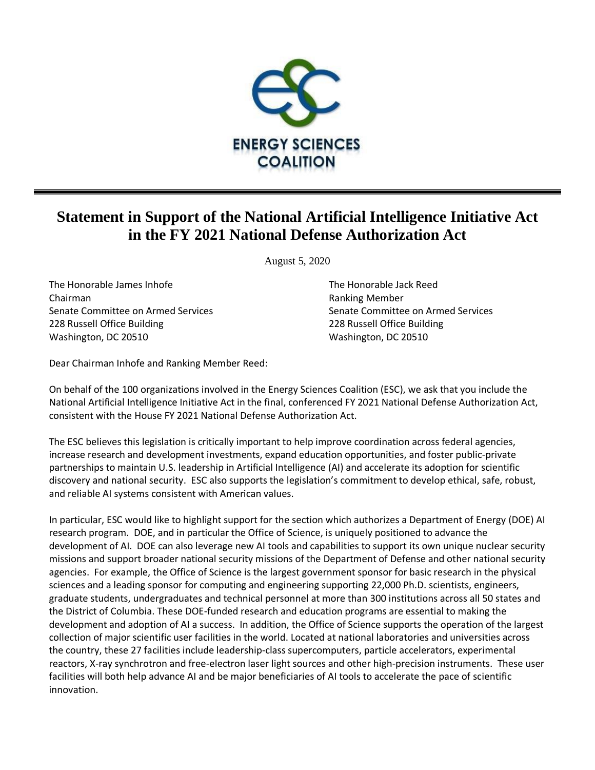

## **Statement in Support of the National Artificial Intelligence Initiative Act in the FY 2021 National Defense Authorization Act**

August 5, 2020

The Honorable James Inhofe The Honorable Jack Reed Chairman Ranking Member 228 Russell Office Building 228 Russell Office Building Washington, DC 20510 Washington, DC 20510

Senate Committee on Armed Services Senate Committee on Armed Services

Dear Chairman Inhofe and Ranking Member Reed:

On behalf of the 100 organizations involved in the Energy Sciences Coalition (ESC), we ask that you include the National Artificial Intelligence Initiative Act in the final, conferenced FY 2021 National Defense Authorization Act, consistent with the House FY 2021 National Defense Authorization Act.

The ESC believes this legislation is critically important to help improve coordination across federal agencies, increase research and development investments, expand education opportunities, and foster public-private partnerships to maintain U.S. leadership in Artificial Intelligence (AI) and accelerate its adoption for scientific discovery and national security. ESC also supports the legislation's commitment to develop ethical, safe, robust, and reliable AI systems consistent with American values.

In particular, ESC would like to highlight support for the section which authorizes a Department of Energy (DOE) AI research program. DOE, and in particular the Office of Science, is uniquely positioned to advance the development of AI. DOE can also leverage new AI tools and capabilities to support its own unique nuclear security missions and support broader national security missions of the Department of Defense and other national security agencies. For example, the Office of Science is the largest government sponsor for basic research in the physical sciences and a leading sponsor for computing and engineering supporting 22,000 Ph.D. scientists, engineers, graduate students, undergraduates and technical personnel at more than 300 institutions across all 50 states and the District of Columbia. These DOE-funded research and education programs are essential to making the development and adoption of AI a success. In addition, the Office of Science supports the operation of the largest collection of major scientific user facilities in the world. Located at national laboratories and universities across the country, these 27 facilities include leadership-class supercomputers, particle accelerators, experimental reactors, X-ray synchrotron and free-electron laser light sources and other high-precision instruments. These user facilities will both help advance AI and be major beneficiaries of AI tools to accelerate the pace of scientific innovation.